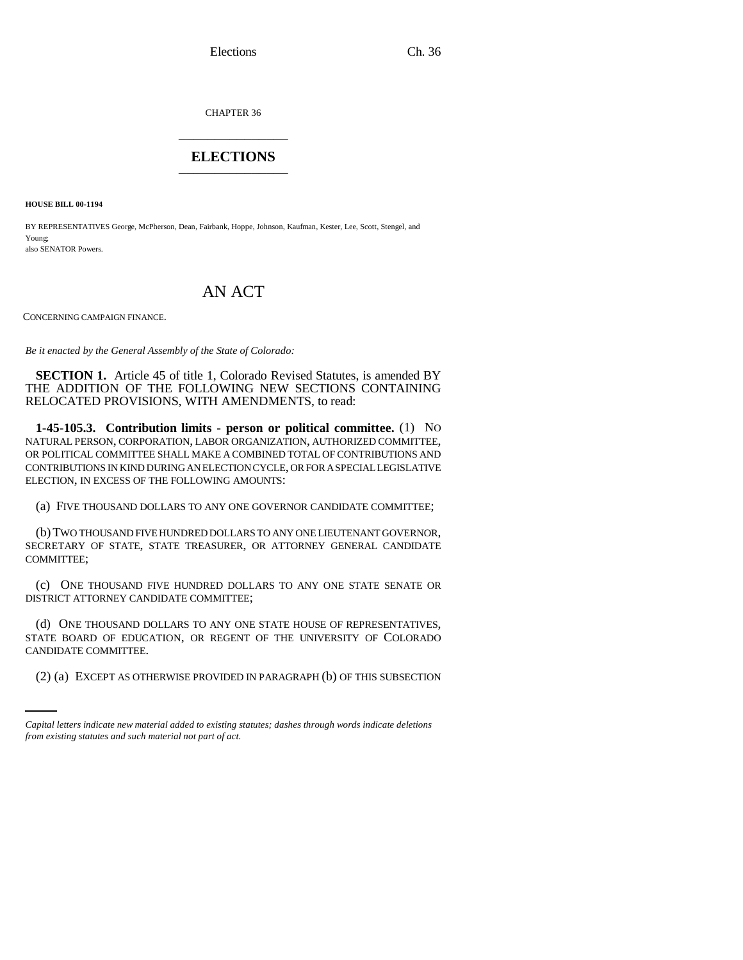CHAPTER 36 \_\_\_\_\_\_\_\_\_\_\_\_\_\_\_

# **ELECTIONS** \_\_\_\_\_\_\_\_\_\_\_\_\_\_\_

**HOUSE BILL 00-1194** 

BY REPRESENTATIVES George, McPherson, Dean, Fairbank, Hoppe, Johnson, Kaufman, Kester, Lee, Scott, Stengel, and Young; also SENATOR Powers.

# AN ACT

CONCERNING CAMPAIGN FINANCE.

*Be it enacted by the General Assembly of the State of Colorado:*

**SECTION 1.** Article 45 of title 1, Colorado Revised Statutes, is amended BY THE ADDITION OF THE FOLLOWING NEW SECTIONS CONTAINING RELOCATED PROVISIONS, WITH AMENDMENTS, to read:

**1-45-105.3. Contribution limits - person or political committee.** (1) NO NATURAL PERSON, CORPORATION, LABOR ORGANIZATION, AUTHORIZED COMMITTEE, OR POLITICAL COMMITTEE SHALL MAKE A COMBINED TOTAL OF CONTRIBUTIONS AND CONTRIBUTIONS IN KIND DURING AN ELECTION CYCLE, OR FOR A SPECIAL LEGISLATIVE ELECTION, IN EXCESS OF THE FOLLOWING AMOUNTS:

(a) FIVE THOUSAND DOLLARS TO ANY ONE GOVERNOR CANDIDATE COMMITTEE;

(b)TWO THOUSAND FIVE HUNDRED DOLLARS TO ANY ONE LIEUTENANT GOVERNOR, SECRETARY OF STATE, STATE TREASURER, OR ATTORNEY GENERAL CANDIDATE COMMITTEE;

(c) ONE THOUSAND FIVE HUNDRED DOLLARS TO ANY ONE STATE SENATE OR DISTRICT ATTORNEY CANDIDATE COMMITTEE;

CANDIDATE COMMITTEE. (d) ONE THOUSAND DOLLARS TO ANY ONE STATE HOUSE OF REPRESENTATIVES, STATE BOARD OF EDUCATION, OR REGENT OF THE UNIVERSITY OF COLORADO

(2) (a) EXCEPT AS OTHERWISE PROVIDED IN PARAGRAPH (b) OF THIS SUBSECTION

*Capital letters indicate new material added to existing statutes; dashes through words indicate deletions from existing statutes and such material not part of act.*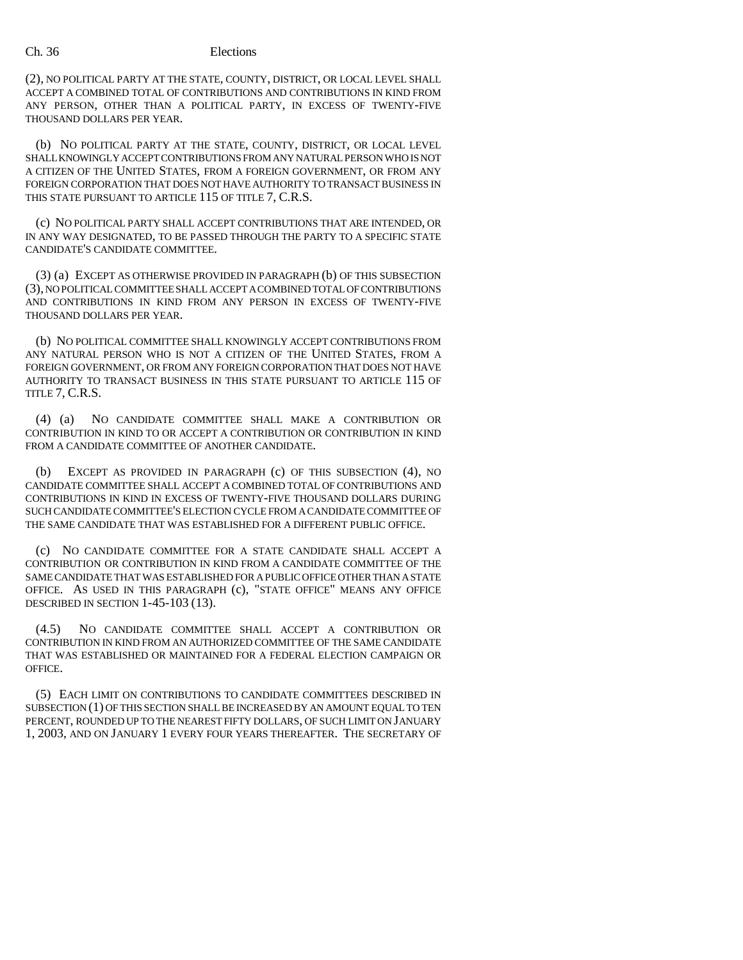(2), NO POLITICAL PARTY AT THE STATE, COUNTY, DISTRICT, OR LOCAL LEVEL SHALL ACCEPT A COMBINED TOTAL OF CONTRIBUTIONS AND CONTRIBUTIONS IN KIND FROM ANY PERSON, OTHER THAN A POLITICAL PARTY, IN EXCESS OF TWENTY-FIVE THOUSAND DOLLARS PER YEAR.

(b) NO POLITICAL PARTY AT THE STATE, COUNTY, DISTRICT, OR LOCAL LEVEL SHALL KNOWINGLY ACCEPT CONTRIBUTIONS FROM ANY NATURAL PERSON WHO IS NOT A CITIZEN OF THE UNITED STATES, FROM A FOREIGN GOVERNMENT, OR FROM ANY FOREIGN CORPORATION THAT DOES NOT HAVE AUTHORITY TO TRANSACT BUSINESS IN THIS STATE PURSUANT TO ARTICLE 115 OF TITLE 7, C.R.S.

(c) NO POLITICAL PARTY SHALL ACCEPT CONTRIBUTIONS THAT ARE INTENDED, OR IN ANY WAY DESIGNATED, TO BE PASSED THROUGH THE PARTY TO A SPECIFIC STATE CANDIDATE'S CANDIDATE COMMITTEE.

(3) (a) EXCEPT AS OTHERWISE PROVIDED IN PARAGRAPH (b) OF THIS SUBSECTION (3), NO POLITICAL COMMITTEE SHALL ACCEPT A COMBINED TOTAL OF CONTRIBUTIONS AND CONTRIBUTIONS IN KIND FROM ANY PERSON IN EXCESS OF TWENTY-FIVE THOUSAND DOLLARS PER YEAR.

(b) NO POLITICAL COMMITTEE SHALL KNOWINGLY ACCEPT CONTRIBUTIONS FROM ANY NATURAL PERSON WHO IS NOT A CITIZEN OF THE UNITED STATES, FROM A FOREIGN GOVERNMENT, OR FROM ANY FOREIGN CORPORATION THAT DOES NOT HAVE AUTHORITY TO TRANSACT BUSINESS IN THIS STATE PURSUANT TO ARTICLE 115 OF TITLE 7, C.R.S.

(4) (a) NO CANDIDATE COMMITTEE SHALL MAKE A CONTRIBUTION OR CONTRIBUTION IN KIND TO OR ACCEPT A CONTRIBUTION OR CONTRIBUTION IN KIND FROM A CANDIDATE COMMITTEE OF ANOTHER CANDIDATE.

(b) EXCEPT AS PROVIDED IN PARAGRAPH (c) OF THIS SUBSECTION (4), NO CANDIDATE COMMITTEE SHALL ACCEPT A COMBINED TOTAL OF CONTRIBUTIONS AND CONTRIBUTIONS IN KIND IN EXCESS OF TWENTY-FIVE THOUSAND DOLLARS DURING SUCH CANDIDATE COMMITTEE'S ELECTION CYCLE FROM A CANDIDATE COMMITTEE OF THE SAME CANDIDATE THAT WAS ESTABLISHED FOR A DIFFERENT PUBLIC OFFICE.

(c) NO CANDIDATE COMMITTEE FOR A STATE CANDIDATE SHALL ACCEPT A CONTRIBUTION OR CONTRIBUTION IN KIND FROM A CANDIDATE COMMITTEE OF THE SAME CANDIDATE THAT WAS ESTABLISHED FOR A PUBLIC OFFICE OTHER THAN A STATE OFFICE. AS USED IN THIS PARAGRAPH (c), "STATE OFFICE" MEANS ANY OFFICE DESCRIBED IN SECTION 1-45-103 (13).

(4.5) NO CANDIDATE COMMITTEE SHALL ACCEPT A CONTRIBUTION OR CONTRIBUTION IN KIND FROM AN AUTHORIZED COMMITTEE OF THE SAME CANDIDATE THAT WAS ESTABLISHED OR MAINTAINED FOR A FEDERAL ELECTION CAMPAIGN OR OFFICE.

(5) EACH LIMIT ON CONTRIBUTIONS TO CANDIDATE COMMITTEES DESCRIBED IN SUBSECTION (1) OF THIS SECTION SHALL BE INCREASED BY AN AMOUNT EQUAL TO TEN PERCENT, ROUNDED UP TO THE NEAREST FIFTY DOLLARS, OF SUCH LIMIT ON JANUARY 1, 2003, AND ON JANUARY 1 EVERY FOUR YEARS THEREAFTER. THE SECRETARY OF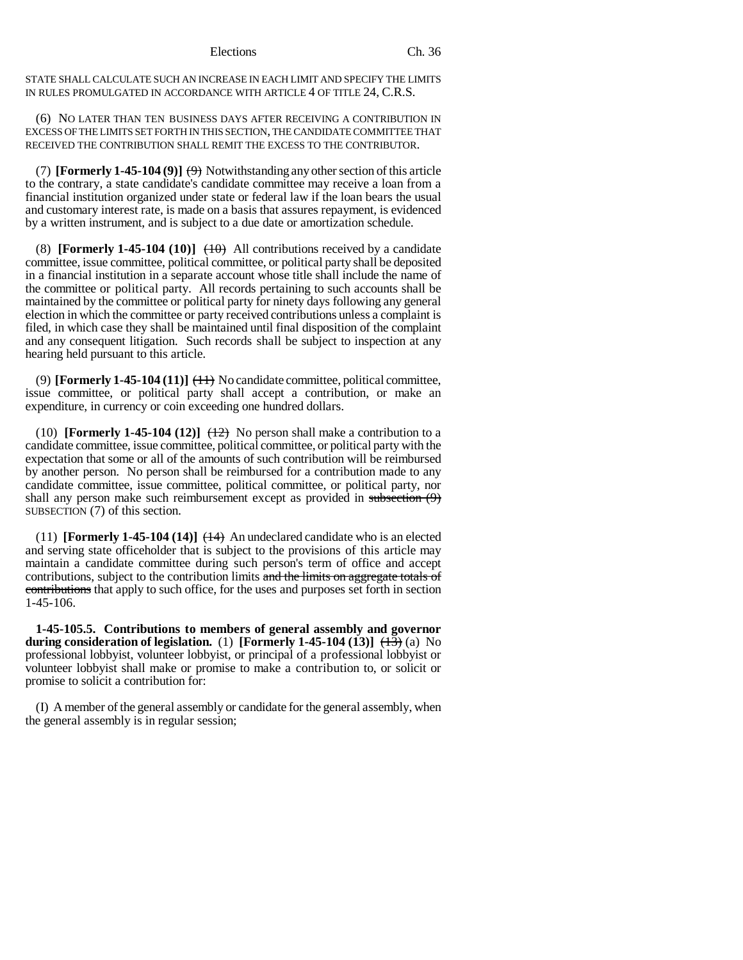STATE SHALL CALCULATE SUCH AN INCREASE IN EACH LIMIT AND SPECIFY THE LIMITS IN RULES PROMULGATED IN ACCORDANCE WITH ARTICLE 4 OF TITLE 24, C.R.S.

(6) NO LATER THAN TEN BUSINESS DAYS AFTER RECEIVING A CONTRIBUTION IN EXCESS OF THE LIMITS SET FORTH IN THIS SECTION, THE CANDIDATE COMMITTEE THAT RECEIVED THE CONTRIBUTION SHALL REMIT THE EXCESS TO THE CONTRIBUTOR.

(7) **[Formerly 1-45-104 (9)]**  $\leftrightarrow$  Notwithstanding any other section of this article to the contrary, a state candidate's candidate committee may receive a loan from a financial institution organized under state or federal law if the loan bears the usual and customary interest rate, is made on a basis that assures repayment, is evidenced by a written instrument, and is subject to a due date or amortization schedule.

(8) **[Formerly 1-45-104 (10)]**  $\leftrightarrow$  All contributions received by a candidate committee, issue committee, political committee, or political party shall be deposited in a financial institution in a separate account whose title shall include the name of the committee or political party. All records pertaining to such accounts shall be maintained by the committee or political party for ninety days following any general election in which the committee or party received contributions unless a complaint is filed, in which case they shall be maintained until final disposition of the complaint and any consequent litigation. Such records shall be subject to inspection at any hearing held pursuant to this article.

(9) **[Formerly 1-45-104 (11)]**  $\leftrightarrow$  No candidate committee, political committee, issue committee, or political party shall accept a contribution, or make an expenditure, in currency or coin exceeding one hundred dollars.

(10) **[Formerly 1-45-104 (12)]**  $\left(\frac{12}{2}\right)$  No person shall make a contribution to a candidate committee, issue committee, political committee, or political party with the expectation that some or all of the amounts of such contribution will be reimbursed by another person. No person shall be reimbursed for a contribution made to any candidate committee, issue committee, political committee, or political party, nor shall any person make such reimbursement except as provided in subsection (9) SUBSECTION (7) of this section.

(11) **[Formerly 1-45-104 (14)]**  $(14)$  An undeclared candidate who is an elected and serving state officeholder that is subject to the provisions of this article may maintain a candidate committee during such person's term of office and accept contributions, subject to the contribution limits and the limits on aggregate totals of contributions that apply to such office, for the uses and purposes set forth in section 1-45-106.

**1-45-105.5. Contributions to members of general assembly and governor during consideration of legislation.** (1) **[Formerly 1-45-104 (13)**]  $\left(\frac{4}{3}\right)$  (a) No professional lobbyist, volunteer lobbyist, or principal of a professional lobbyist or volunteer lobbyist shall make or promise to make a contribution to, or solicit or promise to solicit a contribution for:

(I) A member of the general assembly or candidate for the general assembly, when the general assembly is in regular session;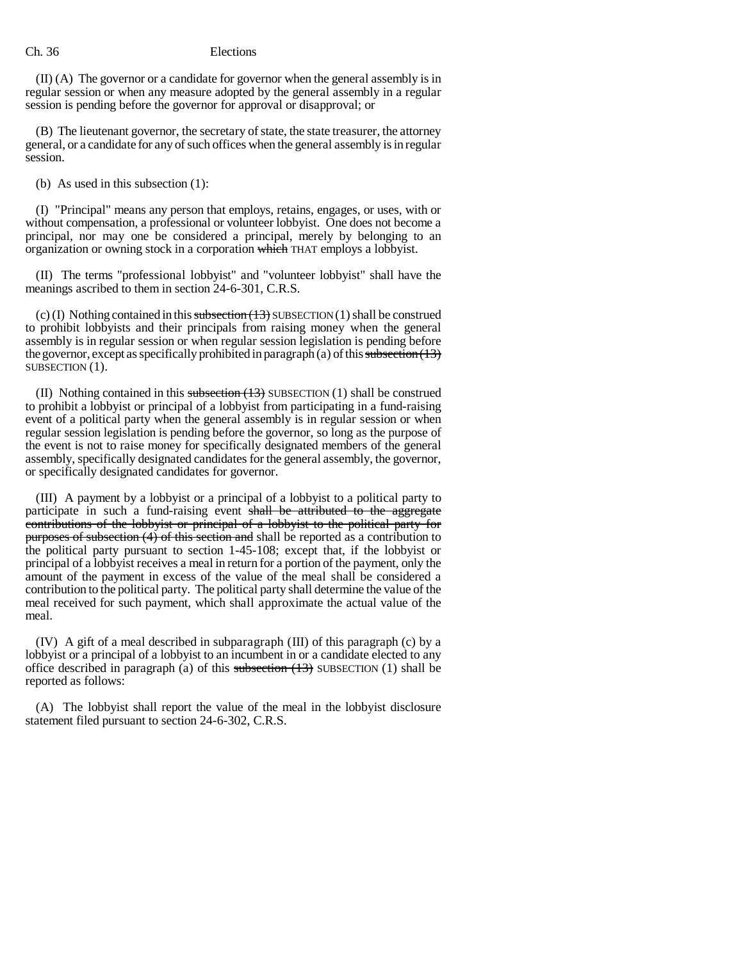(II) (A) The governor or a candidate for governor when the general assembly is in regular session or when any measure adopted by the general assembly in a regular session is pending before the governor for approval or disapproval; or

(B) The lieutenant governor, the secretary of state, the state treasurer, the attorney general, or a candidate for any of such offices when the general assembly is in regular session.

(b) As used in this subsection (1):

(I) "Principal" means any person that employs, retains, engages, or uses, with or without compensation, a professional or volunteer lobbyist. One does not become a principal, nor may one be considered a principal, merely by belonging to an organization or owning stock in a corporation which THAT employs a lobbyist.

(II) The terms "professional lobbyist" and "volunteer lobbyist" shall have the meanings ascribed to them in section 24-6-301, C.R.S.

(c) (I) Nothing contained in this subsection  $(13)$  SUBSECTION  $(1)$  shall be construed to prohibit lobbyists and their principals from raising money when the general assembly is in regular session or when regular session legislation is pending before the governor, except as specifically prohibited in paragraph (a) of this subsection  $(13)$ SUBSECTION (1).

(II) Nothing contained in this subsection  $(1,3)$  SUBSECTION (1) shall be construed to prohibit a lobbyist or principal of a lobbyist from participating in a fund-raising event of a political party when the general assembly is in regular session or when regular session legislation is pending before the governor, so long as the purpose of the event is not to raise money for specifically designated members of the general assembly, specifically designated candidates for the general assembly, the governor, or specifically designated candidates for governor.

(III) A payment by a lobbyist or a principal of a lobbyist to a political party to participate in such a fund-raising event shall be attributed to the aggregate contributions of the lobbyist or principal of a lobbyist to the political party for purposes of subsection (4) of this section and shall be reported as a contribution to the political party pursuant to section 1-45-108; except that, if the lobbyist or principal of a lobbyist receives a meal in return for a portion of the payment, only the amount of the payment in excess of the value of the meal shall be considered a contribution to the political party. The political party shall determine the value of the meal received for such payment, which shall approximate the actual value of the meal.

(IV) A gift of a meal described in subparagraph (III) of this paragraph (c) by a lobbyist or a principal of a lobbyist to an incumbent in or a candidate elected to any office described in paragraph (a) of this subsection  $(13)$  SUBSECTION  $(1)$  shall be reported as follows:

(A) The lobbyist shall report the value of the meal in the lobbyist disclosure statement filed pursuant to section 24-6-302, C.R.S.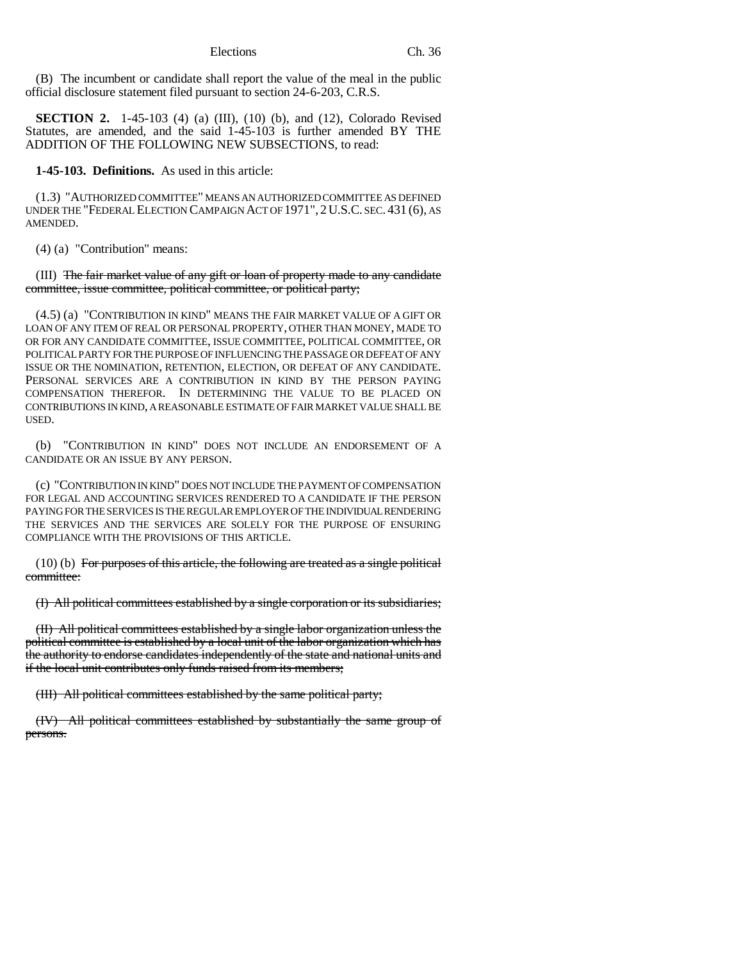(B) The incumbent or candidate shall report the value of the meal in the public official disclosure statement filed pursuant to section 24-6-203, C.R.S.

**SECTION 2.** 1-45-103 (4) (a) (III), (10) (b), and (12), Colorado Revised Statutes, are amended, and the said 1-45-103 is further amended BY THE ADDITION OF THE FOLLOWING NEW SUBSECTIONS, to read:

**1-45-103. Definitions.** As used in this article:

(1.3) "AUTHORIZED COMMITTEE" MEANS AN AUTHORIZED COMMITTEE AS DEFINED UNDER THE "FEDERAL ELECTION CAMPAIGN ACT OF 1971", 2U.S.C. SEC. 431 (6), AS AMENDED.

(4) (a) "Contribution" means:

(III) The fair market value of any gift or loan of property made to any candidate committee, issue committee, political committee, or political party;

(4.5) (a) "CONTRIBUTION IN KIND" MEANS THE FAIR MARKET VALUE OF A GIFT OR LOAN OF ANY ITEM OF REAL OR PERSONAL PROPERTY, OTHER THAN MONEY, MADE TO OR FOR ANY CANDIDATE COMMITTEE, ISSUE COMMITTEE, POLITICAL COMMITTEE, OR POLITICAL PARTY FOR THE PURPOSE OF INFLUENCING THE PASSAGE OR DEFEAT OF ANY ISSUE OR THE NOMINATION, RETENTION, ELECTION, OR DEFEAT OF ANY CANDIDATE. PERSONAL SERVICES ARE A CONTRIBUTION IN KIND BY THE PERSON PAYING COMPENSATION THEREFOR. IN DETERMINING THE VALUE TO BE PLACED ON CONTRIBUTIONS IN KIND, A REASONABLE ESTIMATE OF FAIR MARKET VALUE SHALL BE USED.

(b) "CONTRIBUTION IN KIND" DOES NOT INCLUDE AN ENDORSEMENT OF A CANDIDATE OR AN ISSUE BY ANY PERSON.

(c) "CONTRIBUTION IN KIND" DOES NOT INCLUDE THE PAYMENT OF COMPENSATION FOR LEGAL AND ACCOUNTING SERVICES RENDERED TO A CANDIDATE IF THE PERSON PAYING FOR THE SERVICES IS THE REGULAR EMPLOYER OF THE INDIVIDUAL RENDERING THE SERVICES AND THE SERVICES ARE SOLELY FOR THE PURPOSE OF ENSURING COMPLIANCE WITH THE PROVISIONS OF THIS ARTICLE.

(10) (b) For purposes of this article, the following are treated as a single political committee:

(I) All political committees established by a single corporation or its subsidiaries;

(II) All political committees established by a single labor organization unless the political committee is established by a local unit of the labor organization which has the authority to endorse candidates independently of the state and national units and if the local unit contributes only funds raised from its members;

(III) All political committees established by the same political party;

(IV) All political committees established by substantially the same group of persons.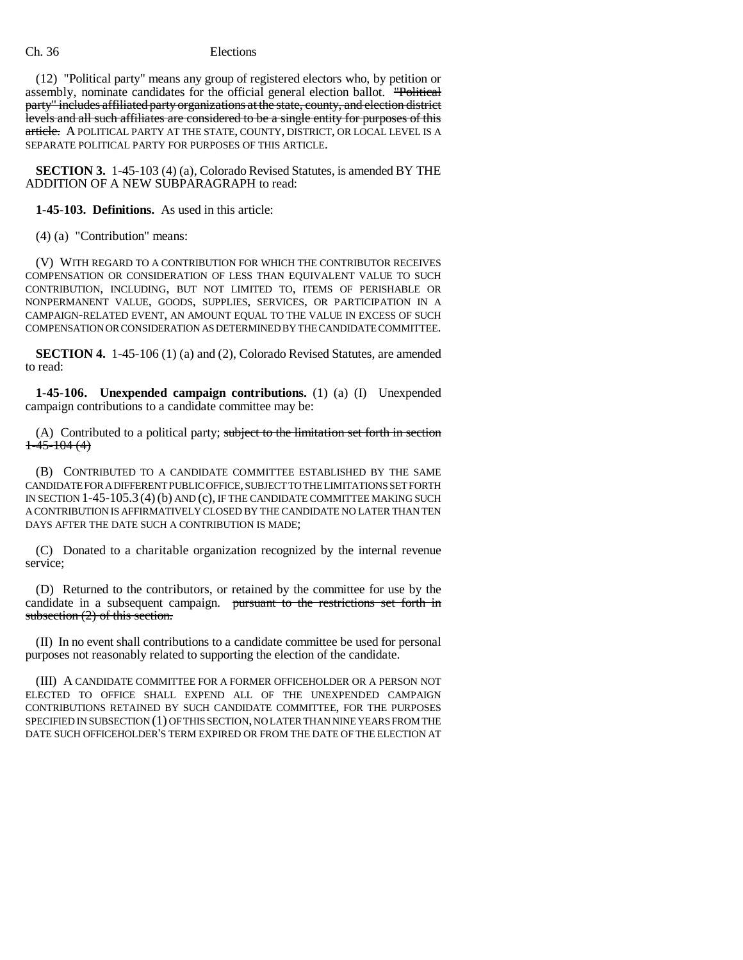(12) "Political party" means any group of registered electors who, by petition or assembly, nominate candidates for the official general election ballot. "Political party" includes affiliated party organizations at the state, county, and election district levels and all such affiliates are considered to be a single entity for purposes of this article. A POLITICAL PARTY AT THE STATE, COUNTY, DISTRICT, OR LOCAL LEVEL IS A SEPARATE POLITICAL PARTY FOR PURPOSES OF THIS ARTICLE.

**SECTION 3.** 1-45-103 (4) (a), Colorado Revised Statutes, is amended BY THE ADDITION OF A NEW SUBPARAGRAPH to read:

**1-45-103. Definitions.** As used in this article:

(4) (a) "Contribution" means:

(V) WITH REGARD TO A CONTRIBUTION FOR WHICH THE CONTRIBUTOR RECEIVES COMPENSATION OR CONSIDERATION OF LESS THAN EQUIVALENT VALUE TO SUCH CONTRIBUTION, INCLUDING, BUT NOT LIMITED TO, ITEMS OF PERISHABLE OR NONPERMANENT VALUE, GOODS, SUPPLIES, SERVICES, OR PARTICIPATION IN A CAMPAIGN-RELATED EVENT, AN AMOUNT EQUAL TO THE VALUE IN EXCESS OF SUCH COMPENSATION OR CONSIDERATION AS DETERMINED BY THE CANDIDATE COMMITTEE.

**SECTION 4.** 1-45-106 (1) (a) and (2), Colorado Revised Statutes, are amended to read:

**1-45-106. Unexpended campaign contributions.** (1) (a) (I) Unexpended campaign contributions to a candidate committee may be:

(A) Contributed to a political party; subject to the limitation set forth in section  $1 - 45 - 104$  (4)

(B) CONTRIBUTED TO A CANDIDATE COMMITTEE ESTABLISHED BY THE SAME CANDIDATE FOR A DIFFERENT PUBLIC OFFICE, SUBJECT TO THE LIMITATIONS SET FORTH IN SECTION 1-45-105.3 (4)(b) AND (c), IF THE CANDIDATE COMMITTEE MAKING SUCH A CONTRIBUTION IS AFFIRMATIVELY CLOSED BY THE CANDIDATE NO LATER THAN TEN DAYS AFTER THE DATE SUCH A CONTRIBUTION IS MADE;

(C) Donated to a charitable organization recognized by the internal revenue service;

(D) Returned to the contributors, or retained by the committee for use by the candidate in a subsequent campaign. pursuant to the restrictions set forth in subsection (2) of this section.

(II) In no event shall contributions to a candidate committee be used for personal purposes not reasonably related to supporting the election of the candidate.

(III) A CANDIDATE COMMITTEE FOR A FORMER OFFICEHOLDER OR A PERSON NOT ELECTED TO OFFICE SHALL EXPEND ALL OF THE UNEXPENDED CAMPAIGN CONTRIBUTIONS RETAINED BY SUCH CANDIDATE COMMITTEE, FOR THE PURPOSES SPECIFIED IN SUBSECTION (1) OF THIS SECTION, NO LATER THAN NINE YEARS FROM THE DATE SUCH OFFICEHOLDER'S TERM EXPIRED OR FROM THE DATE OF THE ELECTION AT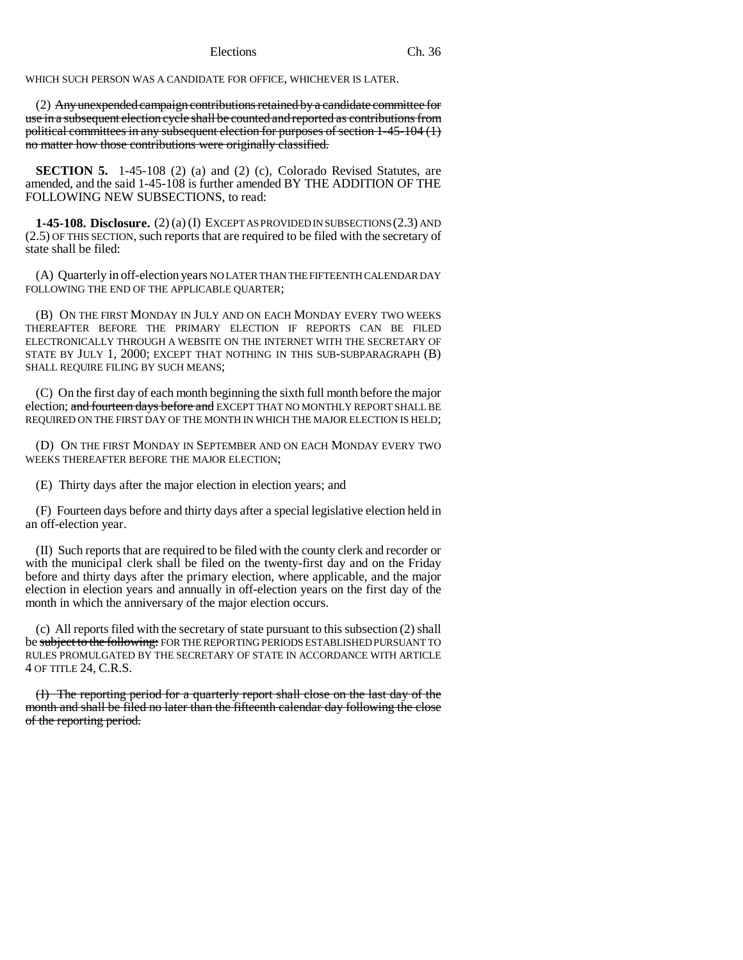WHICH SUCH PERSON WAS A CANDIDATE FOR OFFICE, WHICHEVER IS LATER.

(2) Any unexpended campaign contributions retained by a candidate committee for use in a subsequent election cycle shall be counted and reported as contributions from political committees in any subsequent election for purposes of section 1-45-104 (1) no matter how those contributions were originally classified.

**SECTION 5.** 1-45-108 (2) (a) and (2) (c), Colorado Revised Statutes, are amended, and the said 1-45-108 is further amended BY THE ADDITION OF THE FOLLOWING NEW SUBSECTIONS, to read:

**1-45-108. Disclosure.** (2) (a) (I) EXCEPT AS PROVIDED IN SUBSECTIONS (2.3) AND (2.5) OF THIS SECTION, such reports that are required to be filed with the secretary of state shall be filed:

(A) Quarterly in off-election years NO LATER THAN THE FIFTEENTH CALENDAR DAY FOLLOWING THE END OF THE APPLICABLE OUARTER:

(B) ON THE FIRST MONDAY IN JULY AND ON EACH MONDAY EVERY TWO WEEKS THEREAFTER BEFORE THE PRIMARY ELECTION IF REPORTS CAN BE FILED ELECTRONICALLY THROUGH A WEBSITE ON THE INTERNET WITH THE SECRETARY OF STATE BY JULY 1, 2000; EXCEPT THAT NOTHING IN THIS SUB-SUBPARAGRAPH (B) SHALL REQUIRE FILING BY SUCH MEANS;

(C) On the first day of each month beginning the sixth full month before the major election; and fourteen days before and EXCEPT THAT NO MONTHLY REPORT SHALL BE REQUIRED ON THE FIRST DAY OF THE MONTH IN WHICH THE MAJOR ELECTION IS HELD;

(D) ON THE FIRST MONDAY IN SEPTEMBER AND ON EACH MONDAY EVERY TWO WEEKS THEREAFTER BEFORE THE MAJOR ELECTION;

(E) Thirty days after the major election in election years; and

(F) Fourteen days before and thirty days after a special legislative election held in an off-election year.

(II) Such reports that are required to be filed with the county clerk and recorder or with the municipal clerk shall be filed on the twenty-first day and on the Friday before and thirty days after the primary election, where applicable, and the major election in election years and annually in off-election years on the first day of the month in which the anniversary of the major election occurs.

(c) All reports filed with the secretary of state pursuant to this subsection (2) shall be subject to the following: FOR THE REPORTING PERIODS ESTABLISHED PURSUANT TO RULES PROMULGATED BY THE SECRETARY OF STATE IN ACCORDANCE WITH ARTICLE 4 OF TITLE 24, C.R.S.

(I) The reporting period for a quarterly report shall close on the last day of the month and shall be filed no later than the fifteenth calendar day following the close of the reporting period.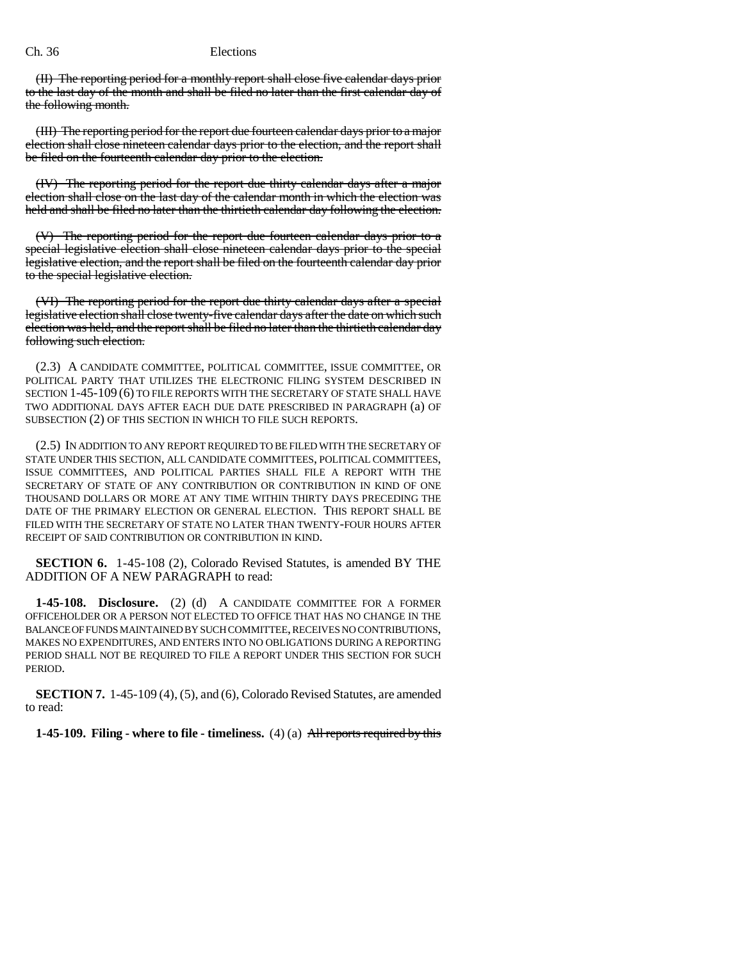(II) The reporting period for a monthly report shall close five calendar days prior to the last day of the month and shall be filed no later than the first calendar day of the following month.

(III) The reporting period for the report due fourteen calendar days prior to a major election shall close nineteen calendar days prior to the election, and the report shall be filed on the fourteenth calendar day prior to the election.

(IV) The reporting period for the report due thirty calendar days after a major election shall close on the last day of the calendar month in which the election was held and shall be filed no later than the thirtieth calendar day following the election.

(V) The reporting period for the report due fourteen calendar days prior to a special legislative election shall close nineteen calendar days prior to the special legislative election, and the report shall be filed on the fourteenth calendar day prior to the special legislative election.

(VI) The reporting period for the report due thirty calendar days after a special legislative election shall close twenty-five calendar days after the date on which such election was held, and the report shall be filed no later than the thirtieth calendar day following such election.

(2.3) A CANDIDATE COMMITTEE, POLITICAL COMMITTEE, ISSUE COMMITTEE, OR POLITICAL PARTY THAT UTILIZES THE ELECTRONIC FILING SYSTEM DESCRIBED IN SECTION 1-45-109 (6) TO FILE REPORTS WITH THE SECRETARY OF STATE SHALL HAVE TWO ADDITIONAL DAYS AFTER EACH DUE DATE PRESCRIBED IN PARAGRAPH (a) OF SUBSECTION (2) OF THIS SECTION IN WHICH TO FILE SUCH REPORTS.

(2.5) IN ADDITION TO ANY REPORT REQUIRED TO BE FILED WITH THE SECRETARY OF STATE UNDER THIS SECTION, ALL CANDIDATE COMMITTEES, POLITICAL COMMITTEES, ISSUE COMMITTEES, AND POLITICAL PARTIES SHALL FILE A REPORT WITH THE SECRETARY OF STATE OF ANY CONTRIBUTION OR CONTRIBUTION IN KIND OF ONE THOUSAND DOLLARS OR MORE AT ANY TIME WITHIN THIRTY DAYS PRECEDING THE DATE OF THE PRIMARY ELECTION OR GENERAL ELECTION. THIS REPORT SHALL BE FILED WITH THE SECRETARY OF STATE NO LATER THAN TWENTY-FOUR HOURS AFTER RECEIPT OF SAID CONTRIBUTION OR CONTRIBUTION IN KIND.

**SECTION 6.** 1-45-108 (2), Colorado Revised Statutes, is amended BY THE ADDITION OF A NEW PARAGRAPH to read:

**1-45-108. Disclosure.** (2) (d) A CANDIDATE COMMITTEE FOR A FORMER OFFICEHOLDER OR A PERSON NOT ELECTED TO OFFICE THAT HAS NO CHANGE IN THE BALANCE OF FUNDS MAINTAINED BY SUCH COMMITTEE, RECEIVES NO CONTRIBUTIONS, MAKES NO EXPENDITURES, AND ENTERS INTO NO OBLIGATIONS DURING A REPORTING PERIOD SHALL NOT BE REQUIRED TO FILE A REPORT UNDER THIS SECTION FOR SUCH PERIOD.

**SECTION 7.** 1-45-109 (4), (5), and (6), Colorado Revised Statutes, are amended to read:

**1-45-109. Filing - where to file - timeliness.** (4) (a) All reports required by this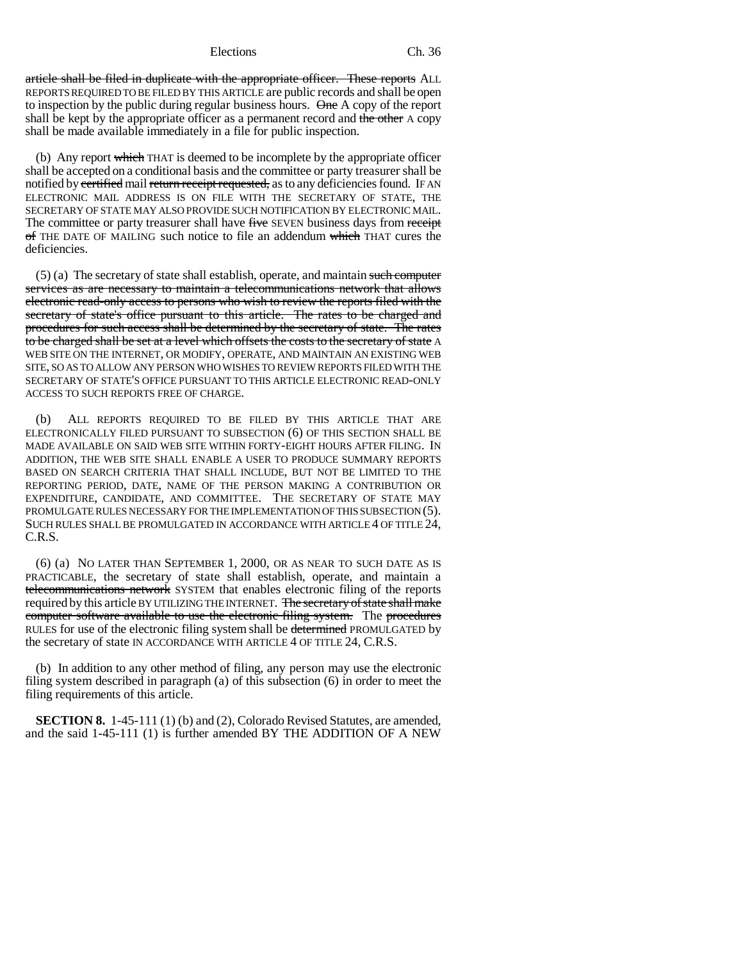article shall be filed in duplicate with the appropriate officer. These reports ALL REPORTS REQUIRED TO BE FILED BY THIS ARTICLE are public records and shall be open to inspection by the public during regular business hours. One A copy of the report shall be kept by the appropriate officer as a permanent record and the other A copy shall be made available immediately in a file for public inspection.

(b) Any report which THAT is deemed to be incomplete by the appropriate officer shall be accepted on a conditional basis and the committee or party treasurer shall be notified by certified mail return receipt requested, as to any deficiencies found. IF AN ELECTRONIC MAIL ADDRESS IS ON FILE WITH THE SECRETARY OF STATE, THE SECRETARY OF STATE MAY ALSO PROVIDE SUCH NOTIFICATION BY ELECTRONIC MAIL. The committee or party treasurer shall have five SEVEN business days from receipt of THE DATE OF MAILING such notice to file an addendum which THAT cures the deficiencies.

 $(5)$  (a) The secretary of state shall establish, operate, and maintain such computer services as are necessary to maintain a telecommunications network that allows electronic read-only access to persons who wish to review the reports filed with the secretary of state's office pursuant to this article. The rates to be charged and procedures for such access shall be determined by the secretary of state. The rates to be charged shall be set at a level which offsets the costs to the secretary of state A WEB SITE ON THE INTERNET, OR MODIFY, OPERATE, AND MAINTAIN AN EXISTING WEB SITE, SO AS TO ALLOW ANY PERSON WHO WISHES TO REVIEW REPORTS FILED WITH THE SECRETARY OF STATE'S OFFICE PURSUANT TO THIS ARTICLE ELECTRONIC READ-ONLY ACCESS TO SUCH REPORTS FREE OF CHARGE.

(b) ALL REPORTS REQUIRED TO BE FILED BY THIS ARTICLE THAT ARE ELECTRONICALLY FILED PURSUANT TO SUBSECTION (6) OF THIS SECTION SHALL BE MADE AVAILABLE ON SAID WEB SITE WITHIN FORTY-EIGHT HOURS AFTER FILING. IN ADDITION, THE WEB SITE SHALL ENABLE A USER TO PRODUCE SUMMARY REPORTS BASED ON SEARCH CRITERIA THAT SHALL INCLUDE, BUT NOT BE LIMITED TO THE REPORTING PERIOD, DATE, NAME OF THE PERSON MAKING A CONTRIBUTION OR EXPENDITURE, CANDIDATE, AND COMMITTEE. THE SECRETARY OF STATE MAY PROMULGATE RULES NECESSARY FOR THE IMPLEMENTATION OF THIS SUBSECTION (5). SUCH RULES SHALL BE PROMULGATED IN ACCORDANCE WITH ARTICLE 4 OF TITLE 24, C.R.S.

(6) (a) NO LATER THAN SEPTEMBER 1, 2000, OR AS NEAR TO SUCH DATE AS IS PRACTICABLE, the secretary of state shall establish, operate, and maintain a telecommunications network SYSTEM that enables electronic filing of the reports required by this article BY UTILIZING THE INTERNET. The secretary of state shall make computer software available to use the electronic filing system. The procedures RULES for use of the electronic filing system shall be determined PROMULGATED by the secretary of state IN ACCORDANCE WITH ARTICLE 4 OF TITLE 24, C.R.S.

(b) In addition to any other method of filing, any person may use the electronic filing system described in paragraph (a) of this subsection (6) in order to meet the filing requirements of this article.

**SECTION 8.** 1-45-111 (1) (b) and (2), Colorado Revised Statutes, are amended, and the said 1-45-111 (1) is further amended BY THE ADDITION OF A NEW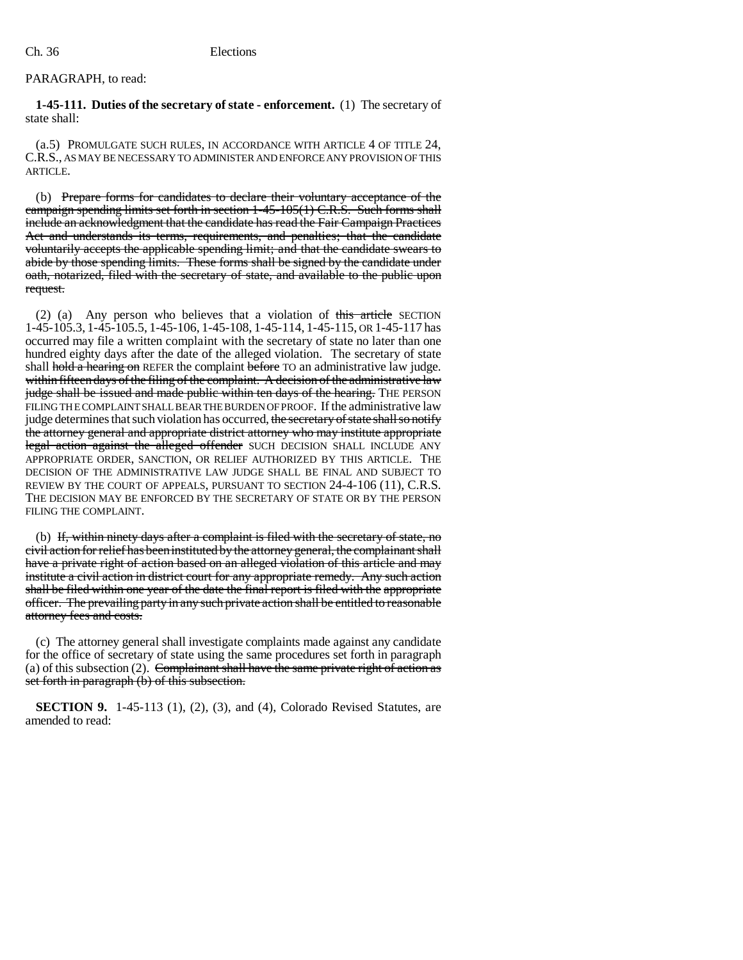# PARAGRAPH, to read:

**1-45-111. Duties of the secretary of state - enforcement.** (1) The secretary of state shall:

(a.5) PROMULGATE SUCH RULES, IN ACCORDANCE WITH ARTICLE 4 OF TITLE 24, C.R.S., AS MAY BE NECESSARY TO ADMINISTER AND ENFORCE ANY PROVISION OF THIS ARTICLE.

(b) Prepare forms for candidates to declare their voluntary acceptance of the campaign spending limits set forth in section 1-45-105(1) C.R.S. Such forms shall include an acknowledgment that the candidate has read the Fair Campaign Practices Act and understands its terms, requirements, and penalties; that the candidate voluntarily accepts the applicable spending limit; and that the candidate swears to abide by those spending limits. These forms shall be signed by the candidate under oath, notarized, filed with the secretary of state, and available to the public upon request.

(2) (a) Any person who believes that a violation of this article SECTION 1-45-105.3, 1-45-105.5, 1-45-106, 1-45-108, 1-45-114, 1-45-115, OR 1-45-117 has occurred may file a written complaint with the secretary of state no later than one hundred eighty days after the date of the alleged violation. The secretary of state shall hold a hearing on REFER the complaint before TO an administrative law judge. within fifteen days of the filing of the complaint. A decision of the administrative law judge shall be issued and made public within ten days of the hearing. THE PERSON FILING THE COMPLAINT SHALL BEAR THE BURDEN OF PROOF. If the administrative law judge determines that such violation has occurred, the secretary of state shall so notify the attorney general and appropriate district attorney who may institute appropriate legal action against the alleged offender SUCH DECISION SHALL INCLUDE ANY APPROPRIATE ORDER, SANCTION, OR RELIEF AUTHORIZED BY THIS ARTICLE. THE DECISION OF THE ADMINISTRATIVE LAW JUDGE SHALL BE FINAL AND SUBJECT TO REVIEW BY THE COURT OF APPEALS, PURSUANT TO SECTION 24-4-106 (11), C.R.S. THE DECISION MAY BE ENFORCED BY THE SECRETARY OF STATE OR BY THE PERSON FILING THE COMPLAINT.

(b) If, within ninety days after a complaint is filed with the secretary of state, no civil action for relief has been instituted by the attorney general, the complainant shall have a private right of action based on an alleged violation of this article and may institute a civil action in district court for any appropriate remedy. Any such action shall be filed within one year of the date the final report is filed with the appropriate officer. The prevailing party in any such private action shall be entitled to reasonable attorney fees and costs.

(c) The attorney general shall investigate complaints made against any candidate for the office of secretary of state using the same procedures set forth in paragraph (a) of this subsection (2). Complainant shall have the same private right of action as set forth in paragraph (b) of this subsection.

**SECTION 9.** 1-45-113 (1), (2), (3), and (4), Colorado Revised Statutes, are amended to read: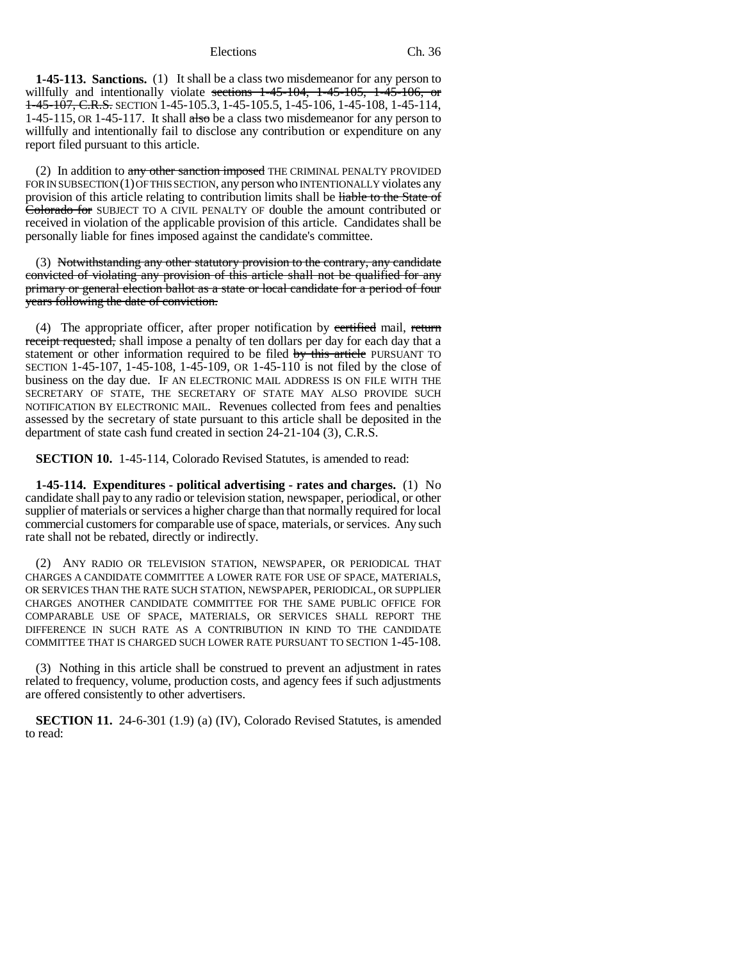**1-45-113. Sanctions.** (1) It shall be a class two misdemeanor for any person to willfully and intentionally violate sections  $1-45-104$ ,  $1-45-105$ ,  $1-45-106$ , or 1-45-107, C.R.S. SECTION 1-45-105.3, 1-45-105.5, 1-45-106, 1-45-108, 1-45-114, 1-45-115, OR 1-45-117. It shall also be a class two misdemeanor for any person to willfully and intentionally fail to disclose any contribution or expenditure on any report filed pursuant to this article.

(2) In addition to any other sanction imposed THE CRIMINAL PENALTY PROVIDED FOR IN SUBSECTION (1) OF THIS SECTION, any person who INTENTIONALLY violates any provision of this article relating to contribution limits shall be liable to the State of Colorado for SUBJECT TO A CIVIL PENALTY OF double the amount contributed or received in violation of the applicable provision of this article. Candidates shall be personally liable for fines imposed against the candidate's committee.

(3) Notwithstanding any other statutory provision to the contrary, any candidate convicted of violating any provision of this article shall not be qualified for any primary or general election ballot as a state or local candidate for a period of four years following the date of conviction.

(4) The appropriate officer, after proper notification by certified mail, return receipt requested, shall impose a penalty of ten dollars per day for each day that a statement or other information required to be filed by this article PURSUANT TO SECTION 1-45-107, 1-45-108, 1-45-109, OR 1-45-110 is not filed by the close of business on the day due. IF AN ELECTRONIC MAIL ADDRESS IS ON FILE WITH THE SECRETARY OF STATE, THE SECRETARY OF STATE MAY ALSO PROVIDE SUCH NOTIFICATION BY ELECTRONIC MAIL. Revenues collected from fees and penalties assessed by the secretary of state pursuant to this article shall be deposited in the department of state cash fund created in section 24-21-104 (3), C.R.S.

**SECTION 10.** 1-45-114, Colorado Revised Statutes, is amended to read:

**1-45-114. Expenditures - political advertising - rates and charges.** (1) No candidate shall pay to any radio or television station, newspaper, periodical, or other supplier of materials or services a higher charge than that normally required for local commercial customers for comparable use of space, materials, or services. Any such rate shall not be rebated, directly or indirectly.

(2) ANY RADIO OR TELEVISION STATION, NEWSPAPER, OR PERIODICAL THAT CHARGES A CANDIDATE COMMITTEE A LOWER RATE FOR USE OF SPACE, MATERIALS, OR SERVICES THAN THE RATE SUCH STATION, NEWSPAPER, PERIODICAL, OR SUPPLIER CHARGES ANOTHER CANDIDATE COMMITTEE FOR THE SAME PUBLIC OFFICE FOR COMPARABLE USE OF SPACE, MATERIALS, OR SERVICES SHALL REPORT THE DIFFERENCE IN SUCH RATE AS A CONTRIBUTION IN KIND TO THE CANDIDATE COMMITTEE THAT IS CHARGED SUCH LOWER RATE PURSUANT TO SECTION 1-45-108.

(3) Nothing in this article shall be construed to prevent an adjustment in rates related to frequency, volume, production costs, and agency fees if such adjustments are offered consistently to other advertisers.

**SECTION 11.** 24-6-301 (1.9) (a) (IV), Colorado Revised Statutes, is amended to read: